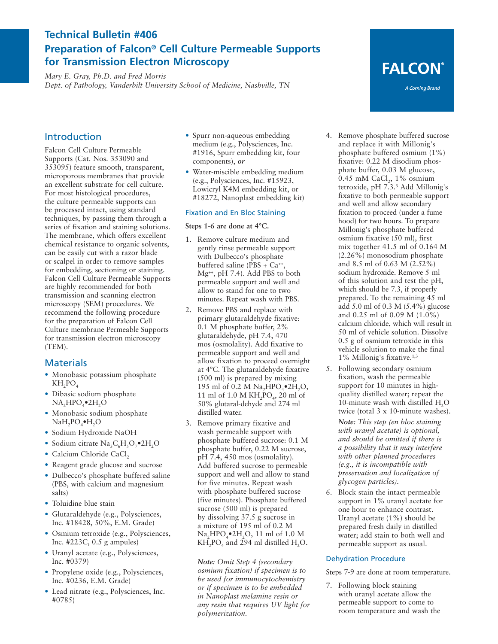## **Technical Bulletin #406 Preparation of Falcon® Cell Culture Permeable Supports for Transmission Electron Microscopy**

*Mary E. Gray, Ph.D. and Fred Morris Dept. of Pathology, Vanderbilt University School of Medicine, Nashville, TN* 

## Introduction

Falcon Cell Culture Permeable Supports (Cat. Nos. 353090 and 353095) feature smooth, transparent, microporous membranes that provide an excellent substrate for cell culture. For most histological procedures, the culture permeable supports can be processed intact, using standard techniques, by passing them through a series of fixation and staining solutions. The membrane, which offers excellent chemical resistance to organic solvents, can be easily cut with a razor blade or scalpel in order to remove samples for embedding, sectioning or staining. Falcon Cell Culture Permeable Supports are highly recommended for both transmission and scanning electron microscopy (SEM) procedures. We recommend the following procedure for the preparation of Falcon Cell Culture membrane Permeable Supports for transmission electron microscopy (TEM).

### **Materials**

- **•** Monobasic potassium phosphate  $KH_2PO_4$
- **•** Dibasic sodium phosphate NA<sub>2</sub>HPO<sub>4</sub>•2H<sub>2</sub>O
- **•** Monobasic sodium phosphate NaH<sub>2</sub>PO<sub>4</sub>•H<sub>2</sub>O
- **•** Sodium Hydroxide NaOH
- Sodium citrate Na<sub>3</sub>C<sub>c</sub>H<sub>5</sub>O<sub>7</sub>•2H<sub>2</sub>O
- Calcium Chloride CaCl<sub>2</sub>
- **•** Reagent grade glucose and sucrose **•** Dulbecco's phosphate buffered saline (PBS, with calcium and magnesium
- **•** Toluidine blue stain

salts)

- **•** Glutaraldehyde (e.g., Polysciences, Inc. #18428, 50%, E.M. Grade)
- **•** Osmium tetroxide (e.g., Polysciences, Inc. #223C, 0.5 g ampules)
- **•** Uranyl acetate (e.g., Polysciences, Inc. #0379)
- **•** Propylene oxide (e.g., Polysciences, Inc. #0236, E.M. Grade)
- **•** Lead nitrate (e.g., Polysciences, Inc. #0785)
- **•** Spurr non-aqueous embedding medium (e.g., Polysciences, Inc. #1916, Spurr embedding kit, four components), *or*
- **•** Water-miscible embedding medium (e.g., Polysciences, Inc. #15923, Lowicryl K4M embedding kit, or #18272, Nanoplast embedding kit)

#### Fixation and En Bloc Staining

#### **Steps 1-6 are done at 4°C.**

- 1. Remove culture medium and gently rinse permeable support with Dulbecco's phosphate buffered saline (PBS +  $Ca^{++}$ , Mg++, pH 7.4). Add PBS to both permeable support and well and allow to stand for one to two minutes. Repeat wash with PBS.
- 2. Remove PBS and replace with primary glutaraldehyde fixative: 0.1 M phosphate buffer, 2% glutaraldehyde, pH 7.4, 470 mos (osmolality). Add fixative to permeable support and well and allow fixation to proceed overnight at 4ºC. The glutaraldehyde fixative (500 ml) is prepared by mixing 195 ml of 0.2 M Na<sub>2</sub>HPO<sub>4</sub> $\bullet$ <sub>2H<sub>2</sub>O<sub>2</sub></sub> 11 ml of 1.0 M  $KH<sub>2</sub>PO<sub>4</sub>$ , 20 ml of 50% glutaral-dehyde and 274 ml distilled water.
- 3. Remove primary fixative and wash permeable support with phosphate buffered sucrose: 0.1 M phosphate buffer, 0.22 M sucrose, pH 7.4, 450 mos (osmolality). Add buffered sucrose to permeable support and well and allow to stand for five minutes. Repeat wash with phosphate buffered sucrose (five minutes). Phosphate buffered sucrose (500 ml) is prepared by dissolving 37.5 g sucrose in a mixture of 195 ml of 0.2 M Na<sub>2</sub>HPO<sub>4</sub>•2H<sub>2</sub>O, 11 ml of 1.0 M  $KH<sub>2</sub>PO<sub>4</sub>$  and 294 ml distilled H<sub>2</sub>O.

*Note: Omit Step 4 (secondary osmium fixation) if specimen is to be used for immunocytochemistry or if specimen is to be embedded in Nanoplast melamine resin or any resin that requires UV light for polymerization.*

- 4. Remove phosphate buffered sucrose and replace it with Millonig's phosphate buffered osmium (1%) fixative: 0.22 M disodium phosphate buffer, 0.03 M glucose,  $0.45$  mM CaCl<sub>2</sub>, 1% osmium tetroxide, pH 7.3.3 Add Millonig's fixative to both permeable support and well and allow secondary fixation to proceed (under a fume hood) for two hours. To prepare Millonig's phosphate buffered osmium fixative (50 ml), first mix together 41.5 ml of 0.164 M (2.26%) monosodium phosphate and 8.5 ml of 0.63 M (2.52%) sodium hydroxide. Remove 5 ml of this solution and test the pH, which should be 7.3, if properly prepared. To the remaining 45 ml add 5.0 ml of 0.3 M (5.4%) glucose and 0.25 ml of 0.09 M (1.0%) calcium chloride, which will result in 50 ml of vehicle solution. Dissolve 0.5 g of osmium tetroxide in this vehicle solution to make the final 1% Millonig's fixative.1,3
- 5. Following secondary osmium fixation, wash the permeable support for 10 minutes in highquality distilled water; repeat the 10-minute wash with distilled  $H<sub>2</sub>O$ twice (total 3 x 10-minute washes).

*Note: This step (en bloc staining with uranyl acetate) is optional, and should be omitted if there is a possibility that it may interfere with other planned procedures (e.g., it is incompatible with preservation and localization of glycogen particles).* 

6. Block stain the intact permeable support in 1% uranyl acetate for one hour to enhance contrast. Uranyl acetate (1%) should be prepared fresh daily in distilled water; add stain to both well and permeable support as usual.

#### Dehydration Procedure

Steps 7-9 are done at room temperature.

7. Following block staining with uranyl acetate allow the permeable support to come to room temperature and wash the

**FALCON®** 

A Corning Brand